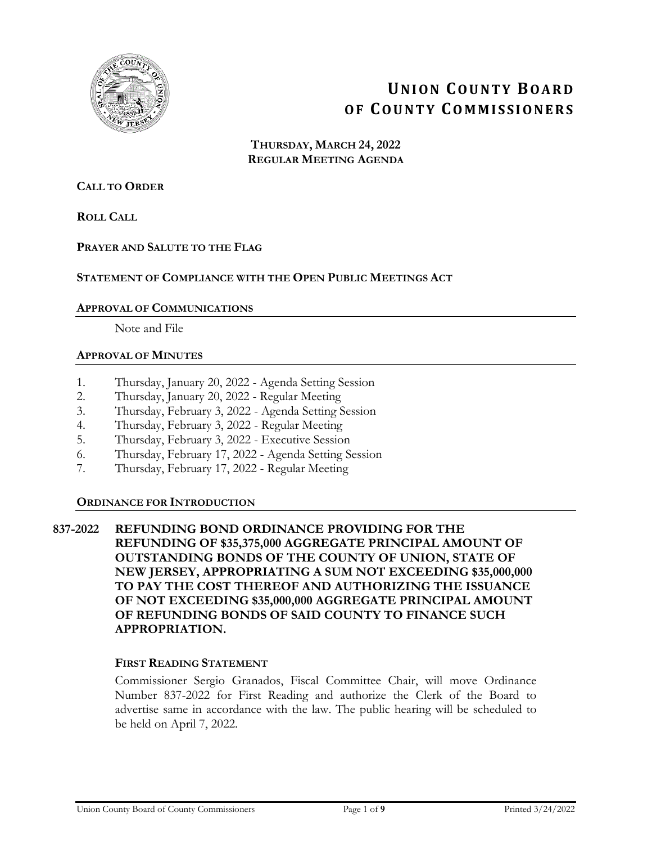

# **UNION COUNTY BOARD OF COUNTY COMMISSIONERS**

**THURSDAY, MARCH 24, 2022 REGULAR MEETING AGENDA**

# **CALL TO ORDER**

**ROLL CALL**

# **PRAYER AND SALUTE TO THE FLAG**

# **STATEMENT OF COMPLIANCE WITH THE OPEN PUBLIC MEETINGS ACT**

#### **APPROVAL OF COMMUNICATIONS**

Note and File

#### **APPROVAL OF MINUTES**

- 1. Thursday, January 20, 2022 Agenda Setting Session
- 2. Thursday, January 20, 2022 Regular Meeting
- 3. Thursday, February 3, 2022 Agenda Setting Session
- 4. Thursday, February 3, 2022 Regular Meeting
- 5. Thursday, February 3, 2022 Executive Session
- 6. Thursday, February 17, 2022 Agenda Setting Session
- 7. Thursday, February 17, 2022 Regular Meeting

# **ORDINANCE FOR INTRODUCTION**

# **837-2022 REFUNDING BOND ORDINANCE PROVIDING FOR THE REFUNDING OF \$35,375,000 AGGREGATE PRINCIPAL AMOUNT OF OUTSTANDING BONDS OF THE COUNTY OF UNION, STATE OF NEW JERSEY, APPROPRIATING A SUM NOT EXCEEDING \$35,000,000 TO PAY THE COST THEREOF AND AUTHORIZING THE ISSUANCE OF NOT EXCEEDING \$35,000,000 AGGREGATE PRINCIPAL AMOUNT OF REFUNDING BONDS OF SAID COUNTY TO FINANCE SUCH APPROPRIATION.**

#### **FIRST READING STATEMENT**

Commissioner Sergio Granados, Fiscal Committee Chair, will move Ordinance Number 837-2022 for First Reading and authorize the Clerk of the Board to advertise same in accordance with the law. The public hearing will be scheduled to be held on April 7, 2022.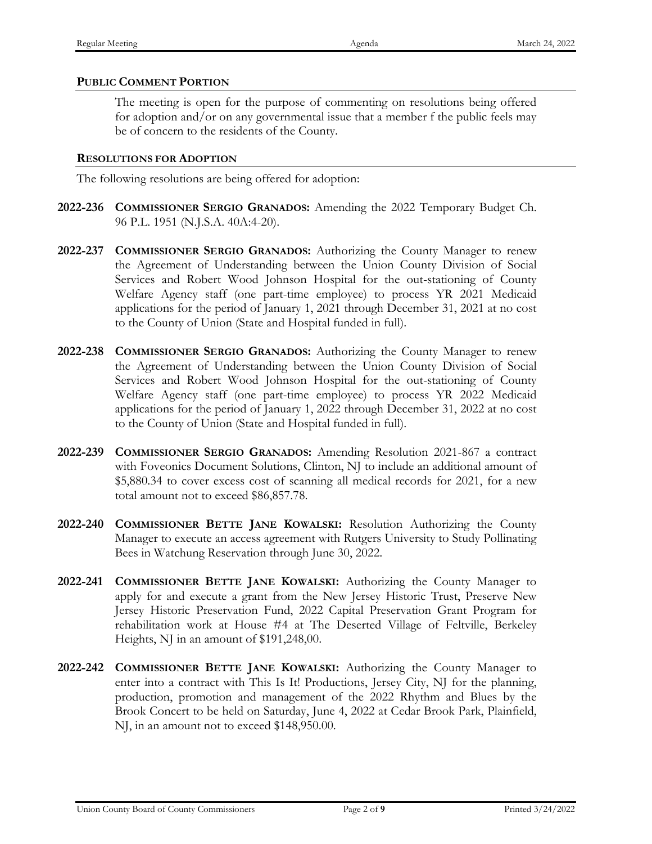# **PUBLIC COMMENT PORTION**

The meeting is open for the purpose of commenting on resolutions being offered for adoption and/or on any governmental issue that a member f the public feels may be of concern to the residents of the County.

#### **RESOLUTIONS FOR ADOPTION**

The following resolutions are being offered for adoption:

- **2022-236 COMMISSIONER SERGIO GRANADOS:** Amending the 2022 Temporary Budget Ch. 96 P.L. 1951 (N.J.S.A. 40A:4-20).
- **2022-237 COMMISSIONER SERGIO GRANADOS:** Authorizing the County Manager to renew the Agreement of Understanding between the Union County Division of Social Services and Robert Wood Johnson Hospital for the out-stationing of County Welfare Agency staff (one part-time employee) to process YR 2021 Medicaid applications for the period of January 1, 2021 through December 31, 2021 at no cost to the County of Union (State and Hospital funded in full).
- **2022-238 COMMISSIONER SERGIO GRANADOS:** Authorizing the County Manager to renew the Agreement of Understanding between the Union County Division of Social Services and Robert Wood Johnson Hospital for the out-stationing of County Welfare Agency staff (one part-time employee) to process YR 2022 Medicaid applications for the period of January 1, 2022 through December 31, 2022 at no cost to the County of Union (State and Hospital funded in full).
- **2022-239 COMMISSIONER SERGIO GRANADOS:** Amending Resolution 2021-867 a contract with Foveonics Document Solutions, Clinton, NJ to include an additional amount of \$5,880.34 to cover excess cost of scanning all medical records for 2021, for a new total amount not to exceed \$86,857.78.
- **2022-240 COMMISSIONER BETTE JANE KOWALSKI:** Resolution Authorizing the County Manager to execute an access agreement with Rutgers University to Study Pollinating Bees in Watchung Reservation through June 30, 2022.
- **2022-241 COMMISSIONER BETTE JANE KOWALSKI:** Authorizing the County Manager to apply for and execute a grant from the New Jersey Historic Trust, Preserve New Jersey Historic Preservation Fund, 2022 Capital Preservation Grant Program for rehabilitation work at House #4 at The Deserted Village of Feltville, Berkeley Heights, NJ in an amount of \$191,248,00.
- **2022-242 COMMISSIONER BETTE JANE KOWALSKI:** Authorizing the County Manager to enter into a contract with This Is It! Productions, Jersey City, NJ for the planning, production, promotion and management of the 2022 Rhythm and Blues by the Brook Concert to be held on Saturday, June 4, 2022 at Cedar Brook Park, Plainfield, NJ, in an amount not to exceed \$148,950.00.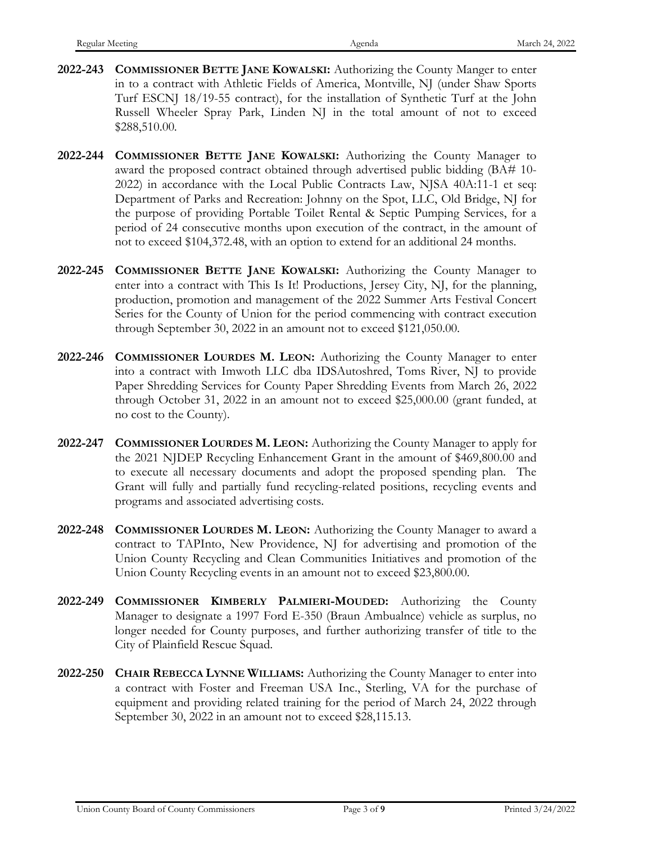- **2022-243 COMMISSIONER BETTE JANE KOWALSKI:** Authorizing the County Manger to enter in to a contract with Athletic Fields of America, Montville, NJ (under Shaw Sports Turf ESCNJ 18/19-55 contract), for the installation of Synthetic Turf at the John Russell Wheeler Spray Park, Linden NJ in the total amount of not to exceed \$288,510.00.
- **2022-244 COMMISSIONER BETTE JANE KOWALSKI:** Authorizing the County Manager to award the proposed contract obtained through advertised public bidding (BA# 10- 2022) in accordance with the Local Public Contracts Law, NJSA 40A:11-1 et seq: Department of Parks and Recreation: Johnny on the Spot, LLC, Old Bridge, NJ for the purpose of providing Portable Toilet Rental & Septic Pumping Services, for a period of 24 consecutive months upon execution of the contract, in the amount of not to exceed \$104,372.48, with an option to extend for an additional 24 months.
- **2022-245 COMMISSIONER BETTE JANE KOWALSKI:** Authorizing the County Manager to enter into a contract with This Is It! Productions, Jersey City, NJ, for the planning, production, promotion and management of the 2022 Summer Arts Festival Concert Series for the County of Union for the period commencing with contract execution through September 30, 2022 in an amount not to exceed \$121,050.00.
- **2022-246 COMMISSIONER LOURDES M. LEON:** Authorizing the County Manager to enter into a contract with Imwoth LLC dba IDSAutoshred, Toms River, NJ to provide Paper Shredding Services for County Paper Shredding Events from March 26, 2022 through October 31, 2022 in an amount not to exceed \$25,000.00 (grant funded, at no cost to the County).
- **2022-247 COMMISSIONER LOURDES M. LEON:** Authorizing the County Manager to apply for the 2021 NJDEP Recycling Enhancement Grant in the amount of \$469,800.00 and to execute all necessary documents and adopt the proposed spending plan. The Grant will fully and partially fund recycling-related positions, recycling events and programs and associated advertising costs.
- **2022-248 COMMISSIONER LOURDES M. LEON:** Authorizing the County Manager to award a contract to TAPInto, New Providence, NJ for advertising and promotion of the Union County Recycling and Clean Communities Initiatives and promotion of the Union County Recycling events in an amount not to exceed \$23,800.00.
- **2022-249 COMMISSIONER KIMBERLY PALMIERI-MOUDED:** Authorizing the County Manager to designate a 1997 Ford E-350 (Braun Ambualnce) vehicle as surplus, no longer needed for County purposes, and further authorizing transfer of title to the City of Plainfield Rescue Squad.
- **2022-250 CHAIR REBECCA LYNNE WILLIAMS:** Authorizing the County Manager to enter into a contract with Foster and Freeman USA Inc., Sterling, VA for the purchase of equipment and providing related training for the period of March 24, 2022 through September 30, 2022 in an amount not to exceed \$28,115.13.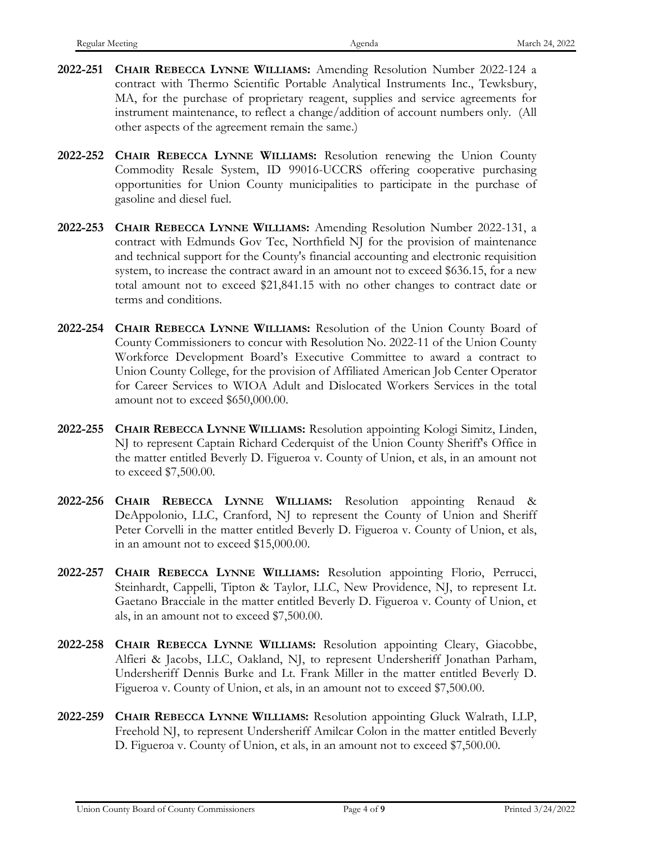- **2022-251 CHAIR REBECCA LYNNE WILLIAMS:** Amending Resolution Number 2022-124 a contract with Thermo Scientific Portable Analytical Instruments Inc., Tewksbury, MA, for the purchase of proprietary reagent, supplies and service agreements for instrument maintenance, to reflect a change/addition of account numbers only. (All other aspects of the agreement remain the same.)
- **2022-252 CHAIR REBECCA LYNNE WILLIAMS:** Resolution renewing the Union County Commodity Resale System, ID 99016-UCCRS offering cooperative purchasing opportunities for Union County municipalities to participate in the purchase of gasoline and diesel fuel.
- **2022-253 CHAIR REBECCA LYNNE WILLIAMS:** Amending Resolution Number 2022-131, a contract with Edmunds Gov Tec, Northfield NJ for the provision of maintenance and technical support for the County's financial accounting and electronic requisition system, to increase the contract award in an amount not to exceed \$636.15, for a new total amount not to exceed \$21,841.15 with no other changes to contract date or terms and conditions.
- **2022-254 CHAIR REBECCA LYNNE WILLIAMS:** Resolution of the Union County Board of County Commissioners to concur with Resolution No. 2022-11 of the Union County Workforce Development Board's Executive Committee to award a contract to Union County College, for the provision of Affiliated American Job Center Operator for Career Services to WIOA Adult and Dislocated Workers Services in the total amount not to exceed \$650,000.00.
- **2022-255 CHAIR REBECCA LYNNE WILLIAMS:** Resolution appointing Kologi Simitz, Linden, NJ to represent Captain Richard Cederquist of the Union County Sheriff's Office in the matter entitled Beverly D. Figueroa v. County of Union, et als, in an amount not to exceed \$7,500.00.
- **2022-256 CHAIR REBECCA LYNNE WILLIAMS:** Resolution appointing Renaud & DeAppolonio, LLC, Cranford, NJ to represent the County of Union and Sheriff Peter Corvelli in the matter entitled Beverly D. Figueroa v. County of Union, et als, in an amount not to exceed \$15,000.00.
- **2022-257 CHAIR REBECCA LYNNE WILLIAMS:** Resolution appointing Florio, Perrucci, Steinhardt, Cappelli, Tipton & Taylor, LLC, New Providence, NJ, to represent Lt. Gaetano Bracciale in the matter entitled Beverly D. Figueroa v. County of Union, et als, in an amount not to exceed \$7,500.00.
- **2022-258 CHAIR REBECCA LYNNE WILLIAMS:** Resolution appointing Cleary, Giacobbe, Alfieri & Jacobs, LLC, Oakland, NJ, to represent Undersheriff Jonathan Parham, Undersheriff Dennis Burke and Lt. Frank Miller in the matter entitled Beverly D. Figueroa v. County of Union, et als, in an amount not to exceed \$7,500.00.
- **2022-259 CHAIR REBECCA LYNNE WILLIAMS:** Resolution appointing Gluck Walrath, LLP, Freehold NJ, to represent Undersheriff Amilcar Colon in the matter entitled Beverly D. Figueroa v. County of Union, et als, in an amount not to exceed \$7,500.00.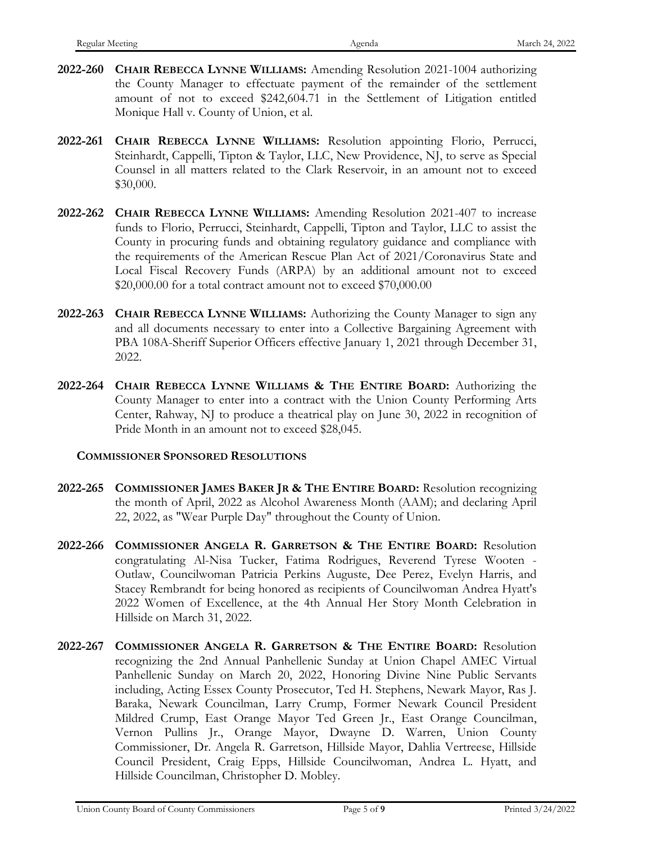- **2022-260 CHAIR REBECCA LYNNE WILLIAMS:** Amending Resolution 2021-1004 authorizing the County Manager to effectuate payment of the remainder of the settlement amount of not to exceed \$242,604.71 in the Settlement of Litigation entitled Monique Hall v. County of Union, et al.
- **2022-261 CHAIR REBECCA LYNNE WILLIAMS:** Resolution appointing Florio, Perrucci, Steinhardt, Cappelli, Tipton & Taylor, LLC, New Providence, NJ, to serve as Special Counsel in all matters related to the Clark Reservoir, in an amount not to exceed \$30,000.
- **2022-262 CHAIR REBECCA LYNNE WILLIAMS:** Amending Resolution 2021-407 to increase funds to Florio, Perrucci, Steinhardt, Cappelli, Tipton and Taylor, LLC to assist the County in procuring funds and obtaining regulatory guidance and compliance with the requirements of the American Rescue Plan Act of 2021/Coronavirus State and Local Fiscal Recovery Funds (ARPA) by an additional amount not to exceed \$20,000.00 for a total contract amount not to exceed \$70,000.00
- **2022-263 CHAIR REBECCA LYNNE WILLIAMS:** Authorizing the County Manager to sign any and all documents necessary to enter into a Collective Bargaining Agreement with PBA 108A-Sheriff Superior Officers effective January 1, 2021 through December 31, 2022.
- **2022-264 CHAIR REBECCA LYNNE WILLIAMS & THE ENTIRE BOARD:** Authorizing the County Manager to enter into a contract with the Union County Performing Arts Center, Rahway, NJ to produce a theatrical play on June 30, 2022 in recognition of Pride Month in an amount not to exceed \$28,045.

# **COMMISSIONER SPONSORED RESOLUTIONS**

- **2022-265 COMMISSIONER JAMES BAKER JR & THE ENTIRE BOARD:** Resolution recognizing the month of April, 2022 as Alcohol Awareness Month (AAM); and declaring April 22, 2022, as "Wear Purple Day" throughout the County of Union.
- **2022-266 COMMISSIONER ANGELA R. GARRETSON & THE ENTIRE BOARD:** Resolution congratulating Al-Nisa Tucker, Fatima Rodrigues, Reverend Tyrese Wooten - Outlaw, Councilwoman Patricia Perkins Auguste, Dee Perez, Evelyn Harris, and Stacey Rembrandt for being honored as recipients of Councilwoman Andrea Hyatt's 2022 Women of Excellence, at the 4th Annual Her Story Month Celebration in Hillside on March 31, 2022.
- **2022-267 COMMISSIONER ANGELA R. GARRETSON & THE ENTIRE BOARD:** Resolution recognizing the 2nd Annual Panhellenic Sunday at Union Chapel AMEC Virtual Panhellenic Sunday on March 20, 2022, Honoring Divine Nine Public Servants including, Acting Essex County Prosecutor, Ted H. Stephens, Newark Mayor, Ras J. Baraka, Newark Councilman, Larry Crump, Former Newark Council President Mildred Crump, East Orange Mayor Ted Green Jr., East Orange Councilman, Vernon Pullins Jr., Orange Mayor, Dwayne D. Warren, Union County Commissioner, Dr. Angela R. Garretson, Hillside Mayor, Dahlia Vertreese, Hillside Council President, Craig Epps, Hillside Councilwoman, Andrea L. Hyatt, and Hillside Councilman, Christopher D. Mobley.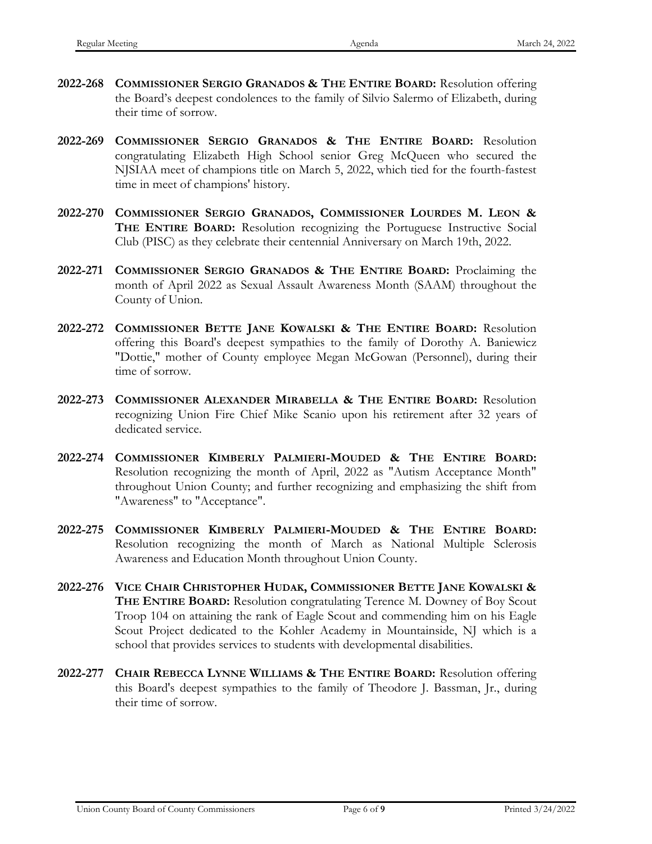- **2022-268 COMMISSIONER SERGIO GRANADOS & THE ENTIRE BOARD:** Resolution offering the Board's deepest condolences to the family of Silvio Salermo of Elizabeth, during their time of sorrow.
- **2022-269 COMMISSIONER SERGIO GRANADOS & THE ENTIRE BOARD:** Resolution congratulating Elizabeth High School senior Greg McQueen who secured the NJSIAA meet of champions title on March 5, 2022, which tied for the fourth-fastest time in meet of champions' history.
- **2022-270 COMMISSIONER SERGIO GRANADOS, COMMISSIONER LOURDES M. LEON & THE ENTIRE BOARD:** Resolution recognizing the Portuguese Instructive Social Club (PISC) as they celebrate their centennial Anniversary on March 19th, 2022.
- **2022-271 COMMISSIONER SERGIO GRANADOS & THE ENTIRE BOARD:** Proclaiming the month of April 2022 as Sexual Assault Awareness Month (SAAM) throughout the County of Union.
- **2022-272 COMMISSIONER BETTE JANE KOWALSKI & THE ENTIRE BOARD:** Resolution offering this Board's deepest sympathies to the family of Dorothy A. Baniewicz "Dottie," mother of County employee Megan McGowan (Personnel), during their time of sorrow.
- **2022-273 COMMISSIONER ALEXANDER MIRABELLA & THE ENTIRE BOARD:** Resolution recognizing Union Fire Chief Mike Scanio upon his retirement after 32 years of dedicated service.
- **2022-274 COMMISSIONER KIMBERLY PALMIERI-MOUDED & THE ENTIRE BOARD:** Resolution recognizing the month of April, 2022 as "Autism Acceptance Month" throughout Union County; and further recognizing and emphasizing the shift from "Awareness" to "Acceptance".
- **2022-275 COMMISSIONER KIMBERLY PALMIERI-MOUDED & THE ENTIRE BOARD:** Resolution recognizing the month of March as National Multiple Sclerosis Awareness and Education Month throughout Union County.
- **2022-276 VICE CHAIR CHRISTOPHER HUDAK, COMMISSIONER BETTE JANE KOWALSKI & THE ENTIRE BOARD:** Resolution congratulating Terence M. Downey of Boy Scout Troop 104 on attaining the rank of Eagle Scout and commending him on his Eagle Scout Project dedicated to the Kohler Academy in Mountainside, NJ which is a school that provides services to students with developmental disabilities.
- **2022-277 CHAIR REBECCA LYNNE WILLIAMS & THE ENTIRE BOARD:** Resolution offering this Board's deepest sympathies to the family of Theodore J. Bassman, Jr., during their time of sorrow.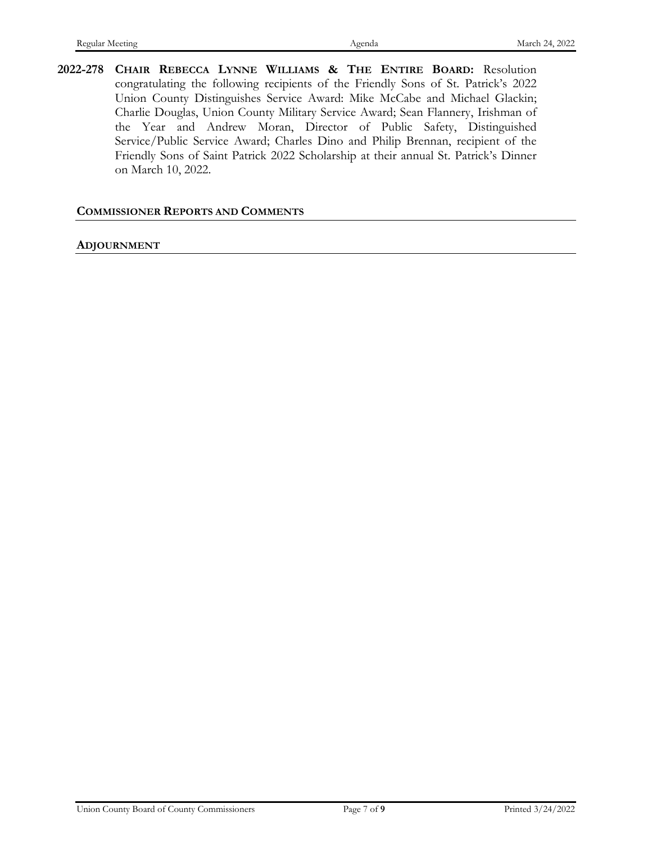**2022-278 CHAIR REBECCA LYNNE WILLIAMS & THE ENTIRE BOARD:** Resolution congratulating the following recipients of the Friendly Sons of St. Patrick's 2022 Union County Distinguishes Service Award: Mike McCabe and Michael Glackin; Charlie Douglas, Union County Military Service Award; Sean Flannery, Irishman of the Year and Andrew Moran, Director of Public Safety, Distinguished Service/Public Service Award; Charles Dino and Philip Brennan, recipient of the Friendly Sons of Saint Patrick 2022 Scholarship at their annual St. Patrick's Dinner on March 10, 2022.

#### **COMMISSIONER REPORTS AND COMMENTS**

#### **ADJOURNMENT**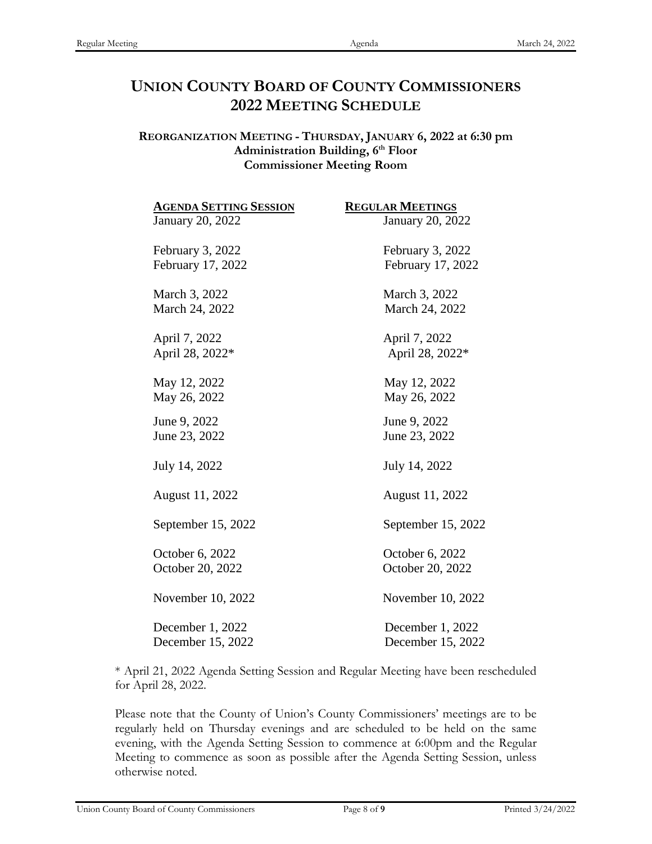# **UNION COUNTY BOARD OF COUNTY COMMISSIONERS 2022 MEETING SCHEDULE**

# **REORGANIZATION MEETING - THURSDAY, JANUARY 6, 2022 at 6:30 pm** Administration Building, 6<sup>th</sup> Floor **Commissioner Meeting Room**

| <b>AGENDA SETTING SESSION</b> | <b>REGULAR MEETINGS</b> |
|-------------------------------|-------------------------|
| January 20, 2022              | January 20, 2022        |
| February 3, 2022              | February 3, 2022        |
| February 17, 2022             | February 17, 2022       |
| March 3, 2022                 | March 3, 2022           |
| March 24, 2022                | March 24, 2022          |
| April 7, 2022                 | April 7, 2022           |
| April 28, 2022*               | April 28, 2022*         |
| May 12, 2022                  | May 12, 2022            |
| May 26, 2022                  | May 26, 2022            |
| June 9, 2022                  | June 9, 2022            |
| June 23, 2022                 | June 23, 2022           |
| July 14, 2022                 | July 14, 2022           |
| August 11, 2022               | August 11, 2022         |
| September 15, 2022            | September 15, 2022      |
| October 6, 2022               | October 6, 2022         |
| October 20, 2022              | October 20, 2022        |
| November 10, 2022             | November 10, 2022       |
| December 1, 2022              | December 1, 2022        |
| December 15, 2022             | December 15, 2022       |

\* April 21, 2022 Agenda Setting Session and Regular Meeting have been rescheduled for April 28, 2022.

Please note that the County of Union's County Commissioners' meetings are to be regularly held on Thursday evenings and are scheduled to be held on the same evening, with the Agenda Setting Session to commence at 6:00pm and the Regular Meeting to commence as soon as possible after the Agenda Setting Session, unless otherwise noted.